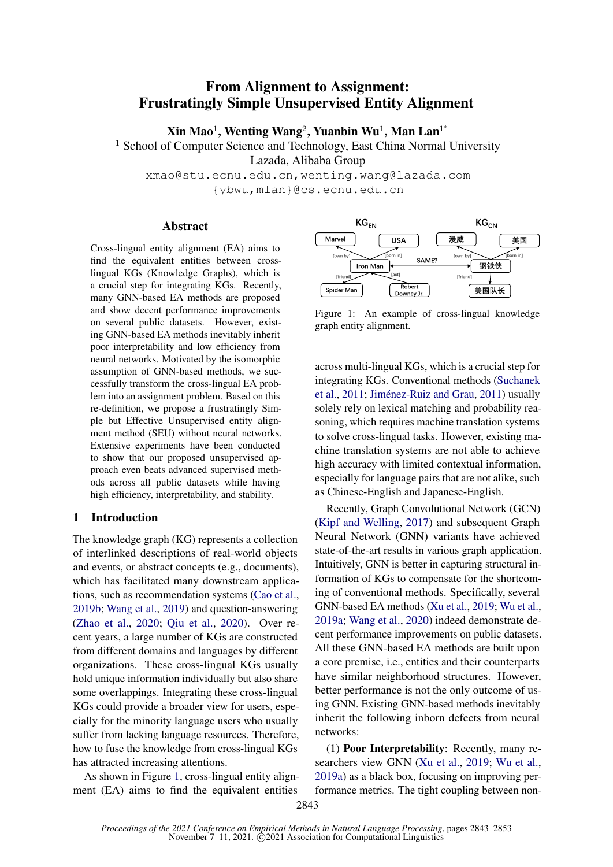# <span id="page-0-2"></span>From Alignment to Assignment: Frustratingly Simple Unsupervised Entity Alignment

 $\mathbf{X}$ in Mao $^1$ , Wenting Wang $^2$ , Yuanbin Wu $^1$ , Man Lan $^{1*}$ 

<sup>1</sup> School of Computer Science and Technology, East China Normal University

Lazada, Alibaba Group

xmao@stu.ecnu.edu.cn,wenting.wang@lazada.com {ybwu,mlan}@cs.ecnu.edu.cn

#### Abstract

Cross-lingual entity alignment (EA) aims to find the equivalent entities between crosslingual KGs (Knowledge Graphs), which is a crucial step for integrating KGs. Recently, many GNN-based EA methods are proposed and show decent performance improvements on several public datasets. However, existing GNN-based EA methods inevitably inherit poor interpretability and low efficiency from neural networks. Motivated by the isomorphic assumption of GNN-based methods, we successfully transform the cross-lingual EA problem into an assignment problem. Based on this re-definition, we propose a frustratingly Simple but Effective Unsupervised entity alignment method (SEU) without neural networks. Extensive experiments have been conducted to show that our proposed unsupervised approach even beats advanced supervised methods across all public datasets while having high efficiency, interpretability, and stability.

# <span id="page-0-1"></span>1 Introduction

The knowledge graph (KG) represents a collection of interlinked descriptions of real-world objects and events, or abstract concepts (e.g., documents), which has facilitated many downstream applications, such as recommendation systems [\(Cao et al.,](#page-8-0) [2019b;](#page-8-0) [Wang et al.,](#page-9-0) [2019\)](#page-9-0) and question-answering [\(Zhao et al.,](#page-10-0) [2020;](#page-10-0) [Qiu et al.,](#page-9-1) [2020\)](#page-9-1). Over recent years, a large number of KGs are constructed from different domains and languages by different organizations. These cross-lingual KGs usually hold unique information individually but also share some overlappings. Integrating these cross-lingual KGs could provide a broader view for users, especially for the minority language users who usually suffer from lacking language resources. Therefore, how to fuse the knowledge from cross-lingual KGs has attracted increasing attentions.

As shown in Figure [1,](#page-0-0) cross-lingual entity alignment (EA) aims to find the equivalent entities

<span id="page-0-0"></span>

Figure 1: An example of cross-lingual knowledge graph entity alignment.

across multi-lingual KGs, which is a crucial step for integrating KGs. Conventional methods [\(Suchanek](#page-9-2) [et al.,](#page-9-2) [2011;](#page-9-2) [Jiménez-Ruiz and Grau,](#page-8-1) [2011\)](#page-8-1) usually solely rely on lexical matching and probability reasoning, which requires machine translation systems to solve cross-lingual tasks. However, existing machine translation systems are not able to achieve high accuracy with limited contextual information, especially for language pairs that are not alike, such as Chinese-English and Japanese-English.

Recently, Graph Convolutional Network (GCN) [\(Kipf and Welling,](#page-8-2) [2017\)](#page-8-2) and subsequent Graph Neural Network (GNN) variants have achieved state-of-the-art results in various graph application. Intuitively, GNN is better in capturing structural information of KGs to compensate for the shortcoming of conventional methods. Specifically, several GNN-based EA methods [\(Xu et al.,](#page-9-3) [2019;](#page-9-3) [Wu et al.,](#page-9-4) [2019a;](#page-9-4) [Wang et al.,](#page-9-5) [2020\)](#page-9-5) indeed demonstrate decent performance improvements on public datasets. All these GNN-based EA methods are built upon a core premise, i.e., entities and their counterparts have similar neighborhood structures. However, better performance is not the only outcome of using GNN. Existing GNN-based methods inevitably inherit the following inborn defects from neural networks:

(1) Poor Interpretability: Recently, many researchers view GNN [\(Xu et al.,](#page-9-3) [2019;](#page-9-3) [Wu et al.,](#page-9-4) [2019a\)](#page-9-4) as a black box, focusing on improving performance metrics. The tight coupling between non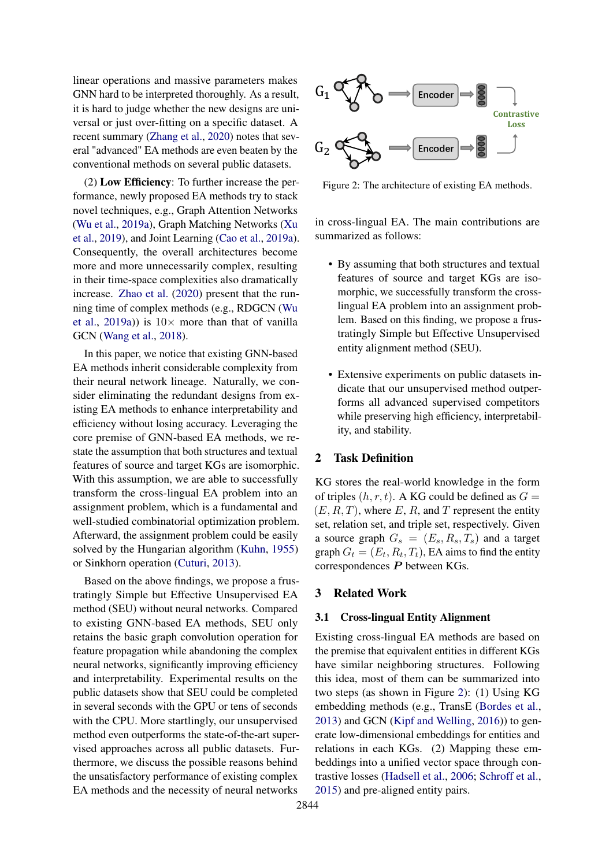linear operations and massive parameters makes GNN hard to be interpreted thoroughly. As a result, it is hard to judge whether the new designs are universal or just over-fitting on a specific dataset. A recent summary [\(Zhang et al.,](#page-10-1) [2020\)](#page-10-1) notes that several "advanced" EA methods are even beaten by the conventional methods on several public datasets.

(2) Low Efficiency: To further increase the performance, newly proposed EA methods try to stack novel techniques, e.g., Graph Attention Networks [\(Wu et al.,](#page-9-4) [2019a\)](#page-9-4), Graph Matching Networks [\(Xu](#page-9-3) [et al.,](#page-9-3) [2019\)](#page-9-3), and Joint Learning [\(Cao et al.,](#page-8-3) [2019a\)](#page-8-3). Consequently, the overall architectures become more and more unnecessarily complex, resulting in their time-space complexities also dramatically increase. [Zhao et al.](#page-10-2) [\(2020\)](#page-10-2) present that the running time of complex methods (e.g., RDGCN [\(Wu](#page-9-4) [et al.,](#page-9-4) [2019a\)](#page-9-4)) is  $10 \times$  more than that of vanilla GCN [\(Wang et al.,](#page-9-6) [2018\)](#page-9-6).

In this paper, we notice that existing GNN-based EA methods inherit considerable complexity from their neural network lineage. Naturally, we consider eliminating the redundant designs from existing EA methods to enhance interpretability and efficiency without losing accuracy. Leveraging the core premise of GNN-based EA methods, we restate the assumption that both structures and textual features of source and target KGs are isomorphic. With this assumption, we are able to successfully transform the cross-lingual EA problem into an assignment problem, which is a fundamental and well-studied combinatorial optimization problem. Afterward, the assignment problem could be easily solved by the Hungarian algorithm [\(Kuhn,](#page-8-4) [1955\)](#page-8-4) or Sinkhorn operation [\(Cuturi,](#page-8-5) [2013\)](#page-8-5).

Based on the above findings, we propose a frustratingly Simple but Effective Unsupervised EA method (SEU) without neural networks. Compared to existing GNN-based EA methods, SEU only retains the basic graph convolution operation for feature propagation while abandoning the complex neural networks, significantly improving efficiency and interpretability. Experimental results on the public datasets show that SEU could be completed in several seconds with the GPU or tens of seconds with the CPU. More startlingly, our unsupervised method even outperforms the state-of-the-art supervised approaches across all public datasets. Furthermore, we discuss the possible reasons behind the unsatisfactory performance of existing complex EA methods and the necessity of neural networks

<span id="page-1-0"></span>

Figure 2: The architecture of existing EA methods.

in cross-lingual EA. The main contributions are summarized as follows:

- By assuming that both structures and textual features of source and target KGs are isomorphic, we successfully transform the crosslingual EA problem into an assignment problem. Based on this finding, we propose a frustratingly Simple but Effective Unsupervised entity alignment method (SEU).
- Extensive experiments on public datasets indicate that our unsupervised method outperforms all advanced supervised competitors while preserving high efficiency, interpretability, and stability.

#### 2 Task Definition

KG stores the real-world knowledge in the form of triples  $(h, r, t)$ . A KG could be defined as  $G =$  $(E, R, T)$ , where E, R, and T represent the entity set, relation set, and triple set, respectively. Given a source graph  $G_s = (E_s, R_s, T_s)$  and a target graph  $G_t = (E_t, R_t, T_t)$ , EA aims to find the entity correspondences P between KGs.

## 3 Related Work

### 3.1 Cross-lingual Entity Alignment

Existing cross-lingual EA methods are based on the premise that equivalent entities in different KGs have similar neighboring structures. Following this idea, most of them can be summarized into two steps (as shown in Figure [2\)](#page-1-0): (1) Using KG embedding methods (e.g., TransE [\(Bordes et al.,](#page-8-6) [2013\)](#page-8-6) and GCN [\(Kipf and Welling,](#page-8-7) [2016\)](#page-8-7)) to generate low-dimensional embeddings for entities and relations in each KGs. (2) Mapping these embeddings into a unified vector space through contrastive losses [\(Hadsell et al.,](#page-8-8) [2006;](#page-8-8) [Schroff et al.,](#page-9-7) [2015\)](#page-9-7) and pre-aligned entity pairs.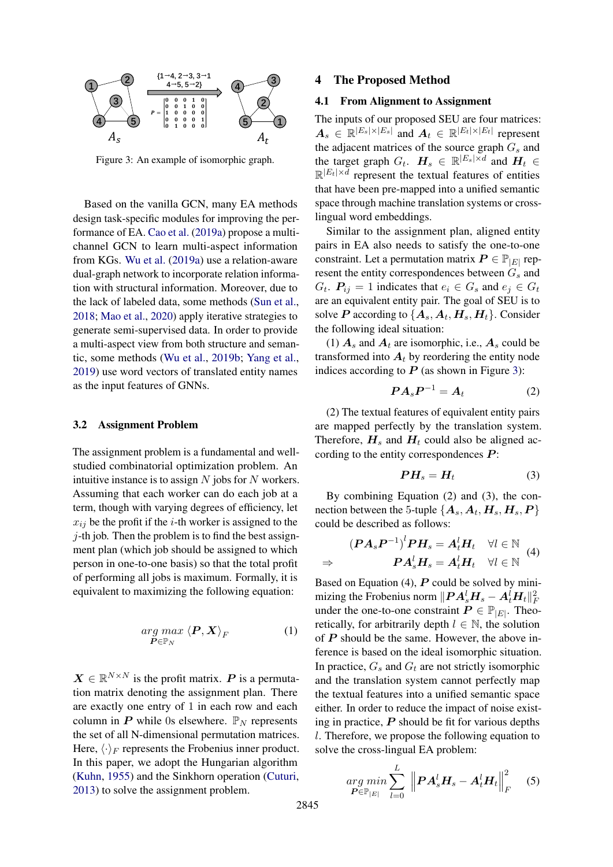<span id="page-2-0"></span>

Figure 3: An example of isomorphic graph.

Based on the vanilla GCN, many EA methods design task-specific modules for improving the performance of EA. [Cao et al.](#page-8-3) [\(2019a\)](#page-8-3) propose a multichannel GCN to learn multi-aspect information from KGs. [Wu et al.](#page-9-4) [\(2019a\)](#page-9-4) use a relation-aware dual-graph network to incorporate relation information with structural information. Moreover, due to the lack of labeled data, some methods [\(Sun et al.,](#page-9-8) [2018;](#page-9-8) [Mao et al.,](#page-9-9) [2020\)](#page-9-9) apply iterative strategies to generate semi-supervised data. In order to provide a multi-aspect view from both structure and semantic, some methods [\(Wu et al.,](#page-9-10) [2019b;](#page-9-10) [Yang et al.,](#page-9-11) [2019\)](#page-9-11) use word vectors of translated entity names as the input features of GNNs.

#### 3.2 Assignment Problem

The assignment problem is a fundamental and wellstudied combinatorial optimization problem. An intuitive instance is to assign  $N$  jobs for  $N$  workers. Assuming that each worker can do each job at a term, though with varying degrees of efficiency, let  $x_{ij}$  be the profit if the *i*-th worker is assigned to the  $\dot{\gamma}$ -th job. Then the problem is to find the best assignment plan (which job should be assigned to which person in one-to-one basis) so that the total profit of performing all jobs is maximum. Formally, it is equivalent to maximizing the following equation:

$$
\underset{\boldsymbol{P}\in\mathbb{P}_N}{\arg\max} \left\langle \boldsymbol{P}, \boldsymbol{X} \right\rangle_F \tag{1}
$$

 $\mathbf{X} \in \mathbb{R}^{N \times N}$  is the profit matrix. P is a permutation matrix denoting the assignment plan. There are exactly one entry of 1 in each row and each column in P while 0s elsewhere.  $\mathbb{P}_N$  represents the set of all N-dimensional permutation matrices. Here,  $\langle \cdot \rangle_F$  represents the Frobenius inner product. In this paper, we adopt the Hungarian algorithm [\(Kuhn,](#page-8-4) [1955\)](#page-8-4) and the Sinkhorn operation [\(Cuturi,](#page-8-5) [2013\)](#page-8-5) to solve the assignment problem.

#### 4 The Proposed Method

#### <span id="page-2-1"></span>4.1 From Alignment to Assignment

The inputs of our proposed SEU are four matrices:  $A_s \in \mathbb{R}^{|E_s| \times |E_s|}$  and  $A_t \in \mathbb{R}^{|E_t| \times |E_t|}$  represent the adjacent matrices of the source graph  $G_s$  and the target graph  $G_t$ .  $H_s \in \mathbb{R}^{|E_s| \times d}$  and  $H_t \in$  $\mathbb{R}^{|E_t| \times d}$  represent the textual features of entities that have been pre-mapped into a unified semantic space through machine translation systems or crosslingual word embeddings.

Similar to the assignment plan, aligned entity pairs in EA also needs to satisfy the one-to-one constraint. Let a permutation matrix  $\boldsymbol{P} \in \mathbb{P}_{|E|}$  represent the entity correspondences between  $G_s$  and  $G_t$ .  $P_{ij} = 1$  indicates that  $e_i \in G_s$  and  $e_j \in G_t$ are an equivalent entity pair. The goal of SEU is to solve P according to  $\{A_s, A_t, H_s, H_t\}$ . Consider the following ideal situation:

(1)  $A_s$  and  $A_t$  are isomorphic, i.e.,  $A_s$  could be transformed into  $A_t$  by reordering the entity node indices according to  $P$  (as shown in Figure [3\)](#page-2-0):

$$
PA_s P^{-1} = A_t \tag{2}
$$

(2) The textual features of equivalent entity pairs are mapped perfectly by the translation system. Therefore,  $H_s$  and  $H_t$  could also be aligned according to the entity correspondences  $P$ :

$$
PH_s = H_t \tag{3}
$$

By combining Equation (2) and (3), the connection between the 5-tuple  $\{{\boldsymbol A}_s, {\boldsymbol A}_t, {\boldsymbol H}_s, {\boldsymbol H}_s, {\boldsymbol P}\}$ could be described as follows:

$$
(PA_sP^{-1})^lPH_s = A_t^lH_t \quad \forall l \in \mathbb{N}
$$
  
\n
$$
\Rightarrow \qquad \qquad PA_s^lH_s = A_t^lH_t \quad \forall l \in \mathbb{N}
$$
 (4)

Based on Equation  $(4)$ ,  $\vec{P}$  could be solved by minimizing the Frobenius norm  $\|\boldsymbol{P}\boldsymbol{A}_s^l\boldsymbol{H}_s - \boldsymbol{A}_t^l\boldsymbol{H}_t\|_F^2$ under the one-to-one constraint  $P \in \mathbb{P}_{|E|}$ . Theoretically, for arbitrarily depth  $l \in \mathbb{N}$ , the solution of  $P$  should be the same. However, the above inference is based on the ideal isomorphic situation. In practice,  $G_s$  and  $G_t$  are not strictly isomorphic and the translation system cannot perfectly map the textual features into a unified semantic space either. In order to reduce the impact of noise existing in practice,  $P$  should be fit for various depths l. Therefore, we propose the following equation to solve the cross-lingual EA problem:

$$
\underset{\boldsymbol{P}\in\mathbb{P}_{|E|}}{\arg\min} \sum_{l=0}^{L} \left\| \boldsymbol{P}\boldsymbol{A}_{s}^{l}\boldsymbol{H}_{s} - \boldsymbol{A}_{t}^{l}\boldsymbol{H}_{t} \right\|_{F}^{2} \quad (5)
$$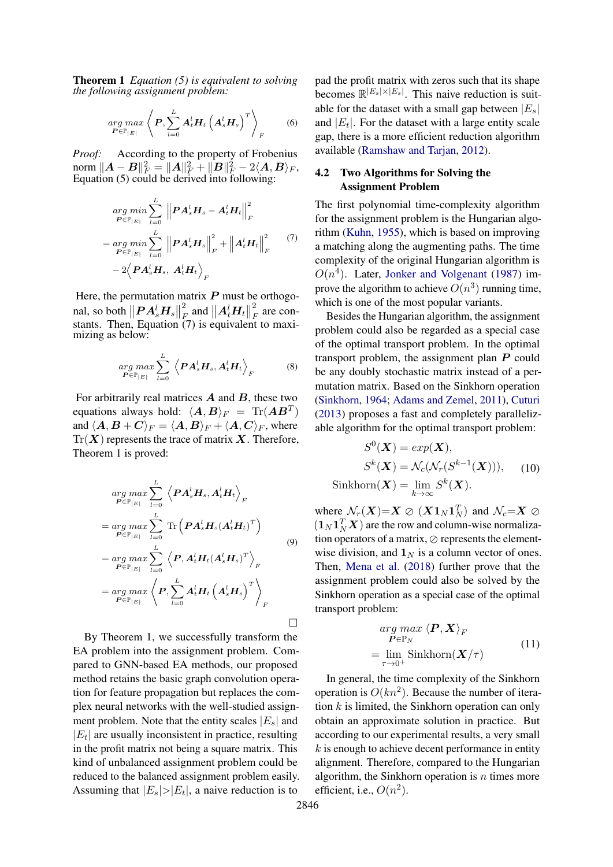Theorem 1 *Equation (5) is equivalent to solving the following assignment problem:*

$$
\underset{\boldsymbol{P}\in\mathbb{P}_{|E|}}{\arg\max} \left\langle \boldsymbol{P}, \sum_{l=0}^{L} \boldsymbol{A}_t^l \boldsymbol{H}_t \left( \boldsymbol{A}_s^l \boldsymbol{H}_s \right)^T \right\rangle_F \qquad (6)
$$

*Proof:* According to the property of Frobenius  $\operatorname*{norm}_{\mathbb{R}}\|A-B\|_{F}^{2}=\|A\|_{F}^{2}+\|B\|_{F}^{2}-2\langle A,B\rangle_{F},$ Equation (5) could be derived into following:

$$
\underset{P \in \mathbb{P}_{|E|}}{\arg \min} \sum_{l=0}^{L} \left\| P A_s^l H_s - A_t^l H_t \right\|_F^2
$$
\n
$$
= \underset{P \in \mathbb{P}_{|E|}}{\arg \min} \sum_{l=0}^{L} \left\| P A_s^l H_s \right\|_F^2 + \left\| A_t^l H_t \right\|_F^2 \tag{7}
$$
\n
$$
- 2 \left\langle P A_s^l H_s, A_t^l H_t \right\rangle_F
$$

Here, the permutation matrix  $P$  must be orthogonal, so both  $||\boldsymbol{P} \boldsymbol{A}_s^l \boldsymbol{H}_s||$ 2  $\frac{d}{dE}$  and  $||\bm{A}_t^l \bm{H}_t||$ 2  $\int_F^2$  are constants. Then, Equation (7) is equivalent to maximizing as below:

$$
\underset{\boldsymbol{P}\in\mathbb{P}_{|E|}}{\arg\max} \sum_{l=0}^{L} \left\langle \boldsymbol{P}\boldsymbol{A}_{s}^{l}\boldsymbol{H}_{s}, \boldsymbol{A}_{t}^{l}\boldsymbol{H}_{t} \right\rangle_{F} \tag{8}
$$

For arbitrarily real matrices  $A$  and  $B$ , these two equations always hold:  $\langle \bm{A}, \bm{B} \rangle_F = \text{Tr}(\bm{A}\bm{B}^T)$ and  $\langle A, B + C \rangle_F = \langle A, B \rangle_F + \langle A, C \rangle_F$ , where  $Tr(X)$  represents the trace of matrix X. Therefore, Theorem 1 is proved:

$$
\underset{P \in \mathbb{P}_{|E|}}{\arg \max} \sum_{l=0}^{L} \left\langle P A_s^l H_s, A_t^l H_t \right\rangle_F
$$
\n
$$
= \underset{P \in \mathbb{P}_{|E|}}{\arg \max} \sum_{l=0}^{L} \text{Tr} \left( P A_s^l H_s (A_t^l H_t)^T \right)
$$
\n
$$
= \underset{P \in \mathbb{P}_{|E|}}{\arg \max} \sum_{l=0}^{L} \left\langle P, A_t^l H_t (A_s^l H_s)^T \right\rangle_F
$$
\n
$$
= \underset{P \in \mathbb{P}_{|E|}}{\arg \max} \left\langle P, \sum_{l=0}^{L} A_t^l H_t (A_s^l H_s)^T \right\rangle_F
$$
\n
$$
\square
$$

By Theorem 1, we successfully transform the EA problem into the assignment problem. Compared to GNN-based EA methods, our proposed method retains the basic graph convolution operation for feature propagation but replaces the complex neural networks with the well-studied assignment problem. Note that the entity scales  $|E_s|$  and  $|E_t|$  are usually inconsistent in practice, resulting in the profit matrix not being a square matrix. This kind of unbalanced assignment problem could be reduced to the balanced assignment problem easily. Assuming that  $|E_s|>|E_t|$ , a naive reduction is to

pad the profit matrix with zeros such that its shape becomes  $\mathbb{R}^{|E_s|\times |E_s|}$ . This naive reduction is suitable for the dataset with a small gap between  $|E_s|$ and  $|E_t|$ . For the dataset with a large entity scale gap, there is a more efficient reduction algorithm available [\(Ramshaw and Tarjan,](#page-9-12) [2012\)](#page-9-12).

# 4.2 Two Algorithms for Solving the Assignment Problem

The first polynomial time-complexity algorithm for the assignment problem is the Hungarian algorithm [\(Kuhn,](#page-8-4) [1955\)](#page-8-4), which is based on improving a matching along the augmenting paths. The time complexity of the original Hungarian algorithm is  $O(n<sup>4</sup>)$ . Later, [Jonker and Volgenant](#page-8-9) [\(1987\)](#page-8-9) improve the algorithm to achieve  $O(n^3)$  running time, which is one of the most popular variants.

Besides the Hungarian algorithm, the assignment problem could also be regarded as a special case of the optimal transport problem. In the optimal transport problem, the assignment plan  $P$  could be any doubly stochastic matrix instead of a permutation matrix. Based on the Sinkhorn operation [\(Sinkhorn,](#page-9-13) [1964;](#page-9-13) [Adams and Zemel,](#page-8-10) [2011\)](#page-8-10), [Cuturi](#page-8-5) [\(2013\)](#page-8-5) proposes a fast and completely parallelizable algorithm for the optimal transport problem:

$$
S^{0}(\boldsymbol{X}) = exp(\boldsymbol{X}),
$$
  
\n
$$
S^{k}(\boldsymbol{X}) = \mathcal{N}_{c}(\mathcal{N}_{r}(S^{k-1}(\boldsymbol{X}))), \quad (10)
$$
  
\nSinkhorn $(\boldsymbol{X}) = \lim_{k \to \infty} S^{k}(\boldsymbol{X}).$ 

where  $\mathcal{N}_r(\mathbf{X}) = \mathbf{X} \otimes (\mathbf{X} \mathbf{1}_N \mathbf{1}_N^T)$  and  $\mathcal{N}_c = \mathbf{X} \otimes$  $(1_N 1_N^T X)$  are the row and column-wise normalization operators of a matrix,  $\oslash$  represents the elementwise division, and  $\mathbf{1}_N$  is a column vector of ones. Then, [Mena et al.](#page-9-14) [\(2018\)](#page-9-14) further prove that the assignment problem could also be solved by the Sinkhorn operation as a special case of the optimal transport problem:

$$
\arg\max_{\boldsymbol{P}\in\mathbb{P}_N} \left\langle \boldsymbol{P}, \boldsymbol{X} \right\rangle_F
$$
\n
$$
= \lim_{\tau \to 0^+} \text{Sinkhorn}(\boldsymbol{X}/\tau) \tag{11}
$$

In general, the time complexity of the Sinkhorn operation is  $O(kn^2)$ . Because the number of iteration  $k$  is limited, the Sinkhorn operation can only obtain an approximate solution in practice. But according to our experimental results, a very small  $k$  is enough to achieve decent performance in entity alignment. Therefore, compared to the Hungarian algorithm, the Sinkhorn operation is  $n$  times more efficient, i.e.,  $O(n^2)$ .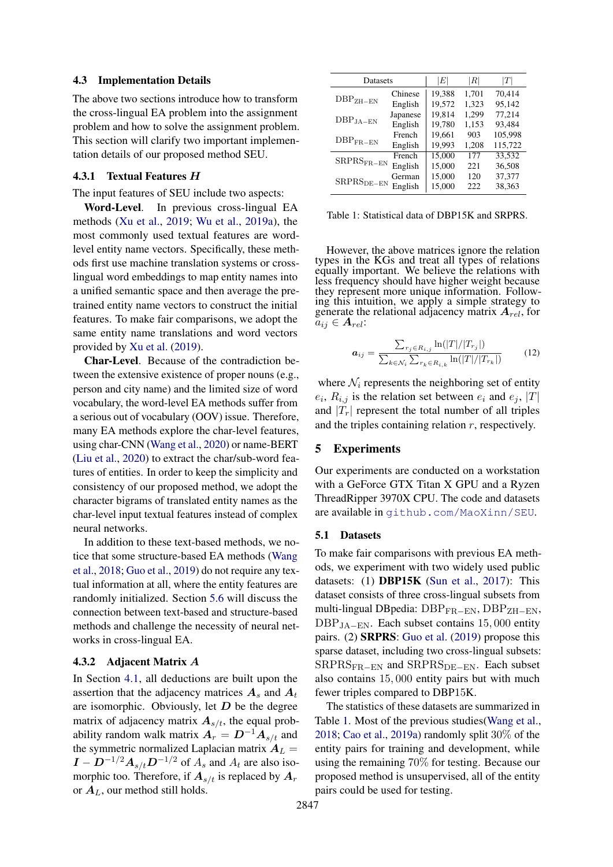#### 4.3 Implementation Details

The above two sections introduce how to transform the cross-lingual EA problem into the assignment problem and how to solve the assignment problem. This section will clarify two important implementation details of our proposed method SEU.

#### <span id="page-4-1"></span>4.3.1 Textual Features H

The input features of SEU include two aspects:

Word-Level. In previous cross-lingual EA methods [\(Xu et al.,](#page-9-3) [2019;](#page-9-3) [Wu et al.,](#page-9-4) [2019a\)](#page-9-4), the most commonly used textual features are wordlevel entity name vectors. Specifically, these methods first use machine translation systems or crosslingual word embeddings to map entity names into a unified semantic space and then average the pretrained entity name vectors to construct the initial features. To make fair comparisons, we adopt the same entity name translations and word vectors provided by [Xu et al.](#page-9-3) [\(2019\)](#page-9-3).

Char-Level. Because of the contradiction between the extensive existence of proper nouns (e.g., person and city name) and the limited size of word vocabulary, the word-level EA methods suffer from a serious out of vocabulary (OOV) issue. Therefore, many EA methods explore the char-level features, using char-CNN [\(Wang et al.,](#page-9-5) [2020\)](#page-9-5) or name-BERT [\(Liu et al.,](#page-8-11) [2020\)](#page-8-11) to extract the char/sub-word features of entities. In order to keep the simplicity and consistency of our proposed method, we adopt the character bigrams of translated entity names as the char-level input textual features instead of complex neural networks.

In addition to these text-based methods, we notice that some structure-based EA methods [\(Wang](#page-9-6) [et al.,](#page-9-6) [2018;](#page-9-6) [Guo et al.,](#page-8-12) [2019\)](#page-8-12) do not require any textual information at all, where the entity features are randomly initialized. Section [5.6](#page-7-0) will discuss the connection between text-based and structure-based methods and challenge the necessity of neural networks in cross-lingual EA.

## 4.3.2 Adjacent Matrix A

In Section [4.1,](#page-2-1) all deductions are built upon the assertion that the adjacency matrices  $A_s$  and  $A_t$ are isomorphic. Obviously, let  $D$  be the degree matrix of adjacency matrix  $A_{s/t}$ , the equal probability random walk matrix  $A_r = D^{-1}A_{s/t}$  and the symmetric normalized Laplacian matrix  $A_L =$  $I - D^{-1/2}A_{s/t}D^{-1/2}$  of  $A_s$  and  $A_t$  are also isomorphic too. Therefore, if  $A_{s/t}$  is replaced by  $A_r$ or  $A_L$ , our method still holds.

<span id="page-4-0"></span>

| Datasets                           | $\left E\right $ | $\left\vert R\right\vert$ | Т     |         |
|------------------------------------|------------------|---------------------------|-------|---------|
|                                    | Chinese          | 19,388                    | 1,701 | 70,414  |
| $\rm DBP_{ZH-EN}$                  | English          | 19,572                    | 1,323 | 95,142  |
| $\rm DBP_{JA-EN}$                  | Japanese         | 19,814                    | 1,299 | 77,214  |
|                                    | English          | 19,780                    | 1,153 | 93,484  |
|                                    | French           | 19,661                    | 903   | 105,998 |
| $\text{DBP}_{\text{FR}-\text{EN}}$ | English          | 19,993                    | 1,208 | 115,722 |
| ${\rm SRPRS_{FR-EN}}$              | French           | 15,000                    | 177   | 33,532  |
|                                    | English          | 15,000                    | 221   | 36,508  |
| ${\rm SRPRS}_{\rm DE-EN}$          | German           | 15,000                    | 120   | 37,377  |
|                                    | English          | 15,000                    | 222   | 38,363  |

Table 1: Statistical data of DBP15K and SRPRS.

However, the above matrices ignore the relation types in the KGs and treat all types of relations equally important. We believe the relations with less frequency should have higher weight because they represent more unique information. Following this intuition, we apply a simple strategy to generate the relational adjacency matrix  $A_{rel}$ , for  $a_{ij} \in A_{rel}$ :

$$
a_{ij} = \frac{\sum_{r_j \in R_{i,j}} \ln(|T|/|T_{r_j}|)}{\sum_{k \in \mathcal{N}_i} \sum_{r_k \in R_{i,k}} \ln(|T|/|T_{r_k}|)}
$$
(12)

where  $\mathcal{N}_i$  represents the neighboring set of entity  $e_i$ ,  $R_{i,j}$  is the relation set between  $e_i$  and  $e_j$ ,  $|T|$ and  $|T_r|$  represent the total number of all triples and the triples containing relation  $r$ , respectively.

#### 5 Experiments

Our experiments are conducted on a workstation with a GeForce GTX Titan X GPU and a Ryzen ThreadRipper 3970X CPU. The code and datasets are available in <github.com/MaoXinn/SEU>.

## 5.1 Datasets

To make fair comparisons with previous EA methods, we experiment with two widely used public datasets: (1) DBP15K [\(Sun et al.,](#page-9-15) [2017\)](#page-9-15): This dataset consists of three cross-lingual subsets from multi-lingual DBpedia: DBP<sub>FR−EN</sub>, DBP<sub>ZH−EN</sub>,  $DBP<sub>JA-EN</sub>$ . Each subset contains 15,000 entity pairs. (2) SRPRS: [Guo et al.](#page-8-12) [\(2019\)](#page-8-12) propose this sparse dataset, including two cross-lingual subsets:  $SRPRS_{FR-EN}$  and  $SRPRS_{DE-EN}$ . Each subset also contains 15, 000 entity pairs but with much fewer triples compared to DBP15K.

The statistics of these datasets are summarized in Table [1.](#page-4-0) Most of the previous studies[\(Wang et al.,](#page-9-6) [2018;](#page-9-6) [Cao et al.,](#page-8-3) [2019a\)](#page-8-3) randomly split 30% of the entity pairs for training and development, while using the remaining 70% for testing. Because our proposed method is unsupervised, all of the entity pairs could be used for testing.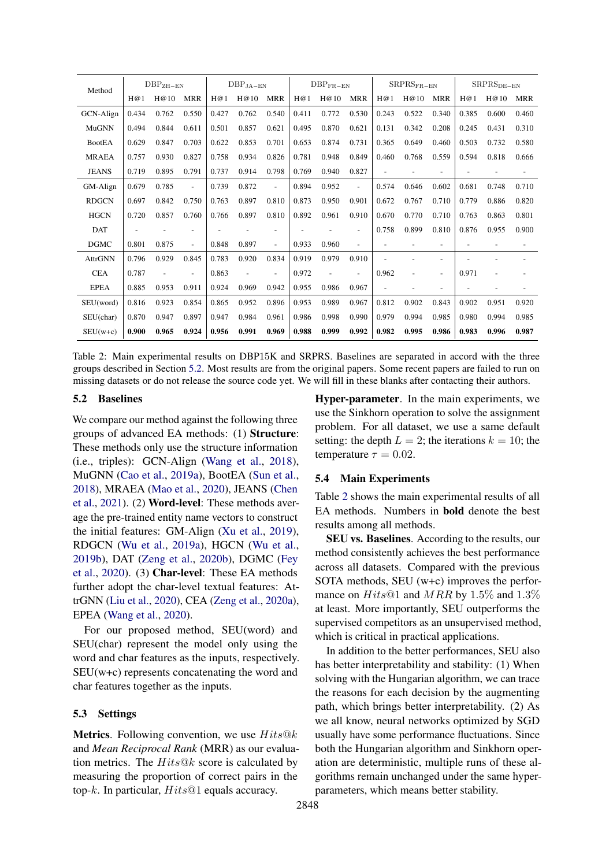<span id="page-5-1"></span>

| Method         | $\rm DBP_{ZH-EN}$ |       | $\rm DBP_{JA-EN}$        |       | $DBP_{FR-EN}$  |                          | ${\rm SRPRS_{FR-EN}}$ |       | ${\rm SRPRS_{DE-EN}}$ |       |                |                |       |       |                          |
|----------------|-------------------|-------|--------------------------|-------|----------------|--------------------------|-----------------------|-------|-----------------------|-------|----------------|----------------|-------|-------|--------------------------|
|                | H@1               | H@10  | <b>MRR</b>               | H@1   | H@10           | <b>MRR</b>               | H@1                   | H@10  | <b>MRR</b>            | H@1   | H@10           | <b>MRR</b>     | H@1   | H@10  | <b>MRR</b>               |
| GCN-Align      | 0.434             | 0.762 | 0.550                    | 0.427 | 0.762          | 0.540                    | 0.411                 | 0.772 | 0.530                 | 0.243 | 0.522          | 0.340          | 0.385 | 0.600 | 0.460                    |
| MuGNN          | 0.494             | 0.844 | 0.611                    | 0.501 | 0.857          | 0.621                    | 0.495                 | 0.870 | 0.621                 | 0.131 | 0.342          | 0.208          | 0.245 | 0.431 | 0.310                    |
| <b>BootEA</b>  | 0.629             | 0.847 | 0.703                    | 0.622 | 0.853          | 0.701                    | 0.653                 | 0.874 | 0.731                 | 0.365 | 0.649          | 0.460          | 0.503 | 0.732 | 0.580                    |
| <b>MRAEA</b>   | 0.757             | 0.930 | 0.827                    | 0.758 | 0.934          | 0.826                    | 0.781                 | 0.948 | 0.849                 | 0.460 | 0.768          | 0.559          | 0.594 | 0.818 | 0.666                    |
| <b>JEANS</b>   | 0.719             | 0.895 | 0.791                    | 0.737 | 0.914          | 0.798                    | 0.769                 | 0.940 | 0.827                 |       |                |                |       |       |                          |
| GM-Align       | 0.679             | 0.785 | $\sim$                   | 0.739 | 0.872          | $\blacksquare$           | 0.894                 | 0.952 | $\overline{a}$        | 0.574 | 0.646          | 0.602          | 0.681 | 0.748 | 0.710                    |
| <b>RDGCN</b>   | 0.697             | 0.842 | 0.750                    | 0.763 | 0.897          | 0.810                    | 0.873                 | 0.950 | 0.901                 | 0.672 | 0.767          | 0.710          | 0.779 | 0.886 | 0.820                    |
| <b>HGCN</b>    | 0.720             | 0.857 | 0.760                    | 0.766 | 0.897          | 0.810                    | 0.892                 | 0.961 | 0.910                 | 0.670 | 0.770          | 0.710          | 0.763 | 0.863 | 0.801                    |
| DAT            |                   |       |                          |       |                |                          |                       |       | $\overline{a}$        | 0.758 | 0.899          | 0.810          | 0.876 | 0.955 | 0.900                    |
| <b>DGMC</b>    | 0.801             | 0.875 | $\sim$                   | 0.848 | 0.897          | $\blacksquare$           | 0.933                 | 0.960 | $\overline{a}$        |       |                |                |       |       | $\overline{\phantom{a}}$ |
| <b>AttrGNN</b> | 0.796             | 0.929 | 0.845                    | 0.783 | 0.920          | 0.834                    | 0.919                 | 0.979 | 0.910                 |       |                |                |       |       |                          |
| <b>CEA</b>     | 0.787             | ÷     | $\overline{\phantom{a}}$ | 0.863 | $\overline{a}$ | $\overline{\phantom{a}}$ | 0.972                 |       | $\overline{a}$        | 0.962 | $\overline{a}$ | $\overline{a}$ | 0.971 |       |                          |
| <b>EPEA</b>    | 0.885             | 0.953 | 0.911                    | 0.924 | 0.969          | 0.942                    | 0.955                 | 0.986 | 0.967                 |       |                |                |       |       |                          |
| SEU(word)      | 0.816             | 0.923 | 0.854                    | 0.865 | 0.952          | 0.896                    | 0.953                 | 0.989 | 0.967                 | 0.812 | 0.902          | 0.843          | 0.902 | 0.951 | 0.920                    |
| SEU(char)      | 0.870             | 0.947 | 0.897                    | 0.947 | 0.984          | 0.961                    | 0.986                 | 0.998 | 0.990                 | 0.979 | 0.994          | 0.985          | 0.980 | 0.994 | 0.985                    |
| $SEU(w+c)$     | 0.900             | 0.965 | 0.924                    | 0.956 | 0.991          | 0.969                    | 0.988                 | 0.999 | 0.992                 | 0.982 | 0.995          | 0.986          | 0.983 | 0.996 | 0.987                    |

Table 2: Main experimental results on DBP15K and SRPRS. Baselines are separated in accord with the three groups described in Section [5.2.](#page-5-0) Most results are from the original papers. Some recent papers are failed to run on missing datasets or do not release the source code yet. We will fill in these blanks after contacting their authors.

## <span id="page-5-0"></span>5.2 Baselines

We compare our method against the following three groups of advanced EA methods: (1) Structure: These methods only use the structure information (i.e., triples): GCN-Align [\(Wang et al.,](#page-9-6) [2018\)](#page-9-6), MuGNN [\(Cao et al.,](#page-8-3) [2019a\)](#page-8-3), BootEA [\(Sun et al.,](#page-9-8) [2018\)](#page-9-8), MRAEA [\(Mao et al.,](#page-9-9) [2020\)](#page-9-9), JEANS [\(Chen](#page-8-13) [et al.,](#page-8-13) [2021\)](#page-8-13). (2) Word-level: These methods average the pre-trained entity name vectors to construct the initial features: GM-Align [\(Xu et al.,](#page-9-3) [2019\)](#page-9-3), RDGCN [\(Wu et al.,](#page-9-4) [2019a\)](#page-9-4), HGCN [\(Wu et al.,](#page-9-10) [2019b\)](#page-9-10), DAT [\(Zeng et al.,](#page-9-16) [2020b\)](#page-9-16), DGMC [\(Fey](#page-8-14) [et al.,](#page-8-14) [2020\)](#page-8-14). (3) Char-level: These EA methods further adopt the char-level textual features: AttrGNN [\(Liu et al.,](#page-8-11) [2020\)](#page-8-11), CEA [\(Zeng et al.,](#page-9-17) [2020a\)](#page-9-17), EPEA [\(Wang et al.,](#page-9-5) [2020\)](#page-9-5).

For our proposed method, SEU(word) and SEU(char) represent the model only using the word and char features as the inputs, respectively. SEU(w+c) represents concatenating the word and char features together as the inputs.

#### 5.3 Settings

**Metrics**. Following convention, we use  $Hits@k$ and *Mean Reciprocal Rank* (MRR) as our evaluation metrics. The  $Hits@k$  score is calculated by measuring the proportion of correct pairs in the top-k. In particular,  $Hits@1$  equals accuracy.

Hyper-parameter. In the main experiments, we use the Sinkhorn operation to solve the assignment problem. For all dataset, we use a same default setting: the depth  $L = 2$ ; the iterations  $k = 10$ ; the temperature  $\tau = 0.02$ .

## 5.4 Main Experiments

Table [2](#page-5-1) shows the main experimental results of all EA methods. Numbers in bold denote the best results among all methods.

SEU vs. Baselines. According to the results, our method consistently achieves the best performance across all datasets. Compared with the previous SOTA methods, SEU (w+c) improves the performance on  $Hits@1$  and  $MRR$  by 1.5% and 1.3% at least. More importantly, SEU outperforms the supervised competitors as an unsupervised method, which is critical in practical applications.

In addition to the better performances, SEU also has better interpretability and stability: (1) When solving with the Hungarian algorithm, we can trace the reasons for each decision by the augmenting path, which brings better interpretability. (2) As we all know, neural networks optimized by SGD usually have some performance fluctuations. Since both the Hungarian algorithm and Sinkhorn operation are deterministic, multiple runs of these algorithms remain unchanged under the same hyperparameters, which means better stability.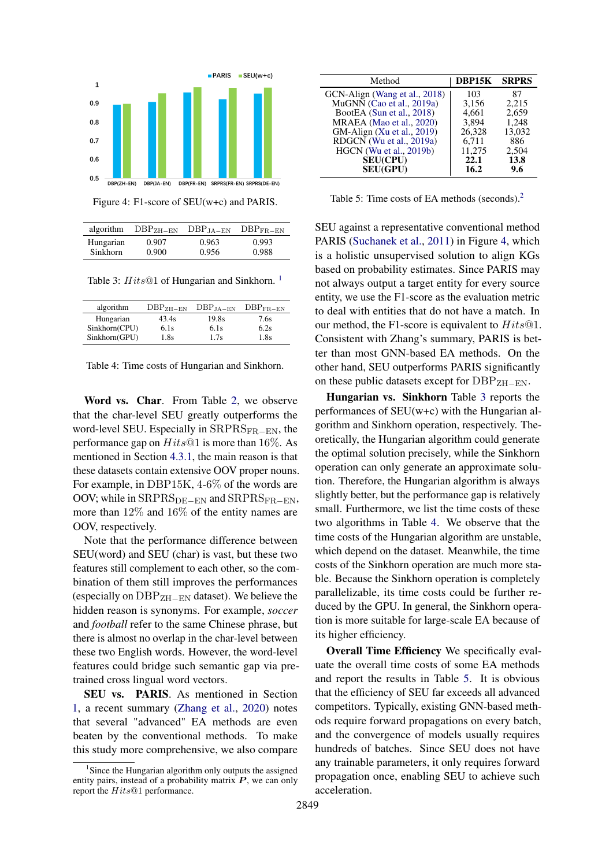<span id="page-6-1"></span>

Figure 4: F1-score of SEU(w+c) and PARIS.

<span id="page-6-2"></span>

|                 | algorithm $DBP_{ZH-EN}$ | $\rm DBP_{JA-EN}$ | $\rm DBP_{FR-EN}$ |
|-----------------|-------------------------|-------------------|-------------------|
| Hungarian       | 0.907                   | 0.963             | 0.993             |
| <b>Sinkhorn</b> | 0.900                   | 0.956             | 0.988             |

Table 3:  $Hits@1$  $Hits@1$  of Hungarian and Sinkhorn.<sup>1</sup>

<span id="page-6-3"></span>

| algorithm     | $DBPZH-FN$ | $DBP_{JA-EN}$ | $\rm DBP_{FR-EN}$ |
|---------------|------------|---------------|-------------------|
| Hungarian     | 43.4s      | 19.8s         | 7.6s              |
| Sinkhorn(CPU) | 6.1s       | 6.1s          | 6.2s              |
| Sinkhorn(GPU) | 1.8s       | 1.7s          | 1.8s              |

Word vs. Char. From Table [2,](#page-5-1) we observe that the char-level SEU greatly outperforms the word-level SEU. Especially in  $SRPRS_{FR-FN}$ , the performance gap on  $Hits@1$  is more than 16%. As mentioned in Section [4.3.1,](#page-4-1) the main reason is that these datasets contain extensive OOV proper nouns. For example, in DBP15K, 4-6% of the words are OOV; while in  $SRPRS_{DE-EN}$  and  $SRPRS_{FR-EN}$ , more than 12% and 16% of the entity names are OOV, respectively.

Note that the performance difference between SEU(word) and SEU (char) is vast, but these two features still complement to each other, so the combination of them still improves the performances (especially on  $DBP_{ZH-EN}$  dataset). We believe the hidden reason is synonyms. For example, *soccer* and *football* refer to the same Chinese phrase, but there is almost no overlap in the char-level between these two English words. However, the word-level features could bridge such semantic gap via pretrained cross lingual word vectors.

SEU vs. PARIS. As mentioned in Section [1,](#page-0-1) a recent summary [\(Zhang et al.,](#page-10-1) [2020\)](#page-10-1) notes that several "advanced" EA methods are even beaten by the conventional methods. To make this study more comprehensive, we also compare

<span id="page-6-4"></span>

| Method                        | DBP15K | <b>SRPRS</b> |
|-------------------------------|--------|--------------|
| GCN-Align (Wang et al., 2018) | 103    | 87           |
| MuGNN (Cao et al., 2019a)     | 3,156  | 2,215        |
| BootEA (Sun et al., 2018)     | 4.661  | 2,659        |
| MRAEA (Mao et al., 2020)      | 3.894  | 1,248        |
| GM-Align $(Xu et al., 2019)$  | 26.328 | 13.032       |
| RDGCN (Wu et al., 2019a)      | 6.711  | 886          |
| HGCN (Wu et al., 2019b)       | 11,275 | 2,504        |
| <b>SEU(CPU)</b>               | 22.1   | 13.8         |
| <b>SEU(GPU)</b>               | 16.2   | 9.6          |

Table 5: Time costs of EA methods (seconds).[2](#page-0-2)

SEU against a representative conventional method PARIS [\(Suchanek et al.,](#page-9-2) [2011\)](#page-9-2) in Figure [4,](#page-6-1) which is a holistic unsupervised solution to align KGs based on probability estimates. Since PARIS may not always output a target entity for every source entity, we use the F1-score as the evaluation metric to deal with entities that do not have a match. In our method, the F1-score is equivalent to  $Hits@1$ . Consistent with Zhang's summary, PARIS is better than most GNN-based EA methods. On the other hand, SEU outperforms PARIS significantly on these public datasets except for  $DBP_{ZH-EN}$ .

Hungarian vs. Sinkhorn Table [3](#page-6-2) reports the performances of SEU(w+c) with the Hungarian algorithm and Sinkhorn operation, respectively. Theoretically, the Hungarian algorithm could generate the optimal solution precisely, while the Sinkhorn operation can only generate an approximate solution. Therefore, the Hungarian algorithm is always slightly better, but the performance gap is relatively small. Furthermore, we list the time costs of these two algorithms in Table [4.](#page-6-3) We observe that the time costs of the Hungarian algorithm are unstable, which depend on the dataset. Meanwhile, the time costs of the Sinkhorn operation are much more stable. Because the Sinkhorn operation is completely parallelizable, its time costs could be further reduced by the GPU. In general, the Sinkhorn operation is more suitable for large-scale EA because of its higher efficiency.

Overall Time Efficiency We specifically evaluate the overall time costs of some EA methods and report the results in Table [5.](#page-6-4) It is obvious that the efficiency of SEU far exceeds all advanced competitors. Typically, existing GNN-based methods require forward propagations on every batch, and the convergence of models usually requires hundreds of batches. Since SEU does not have any trainable parameters, it only requires forward propagation once, enabling SEU to achieve such acceleration.

<span id="page-6-0"></span><sup>&</sup>lt;sup>1</sup> Since the Hungarian algorithm only outputs the assigned entity pairs, instead of a probability matrix  $P$ , we can only report the Hits@1 performance.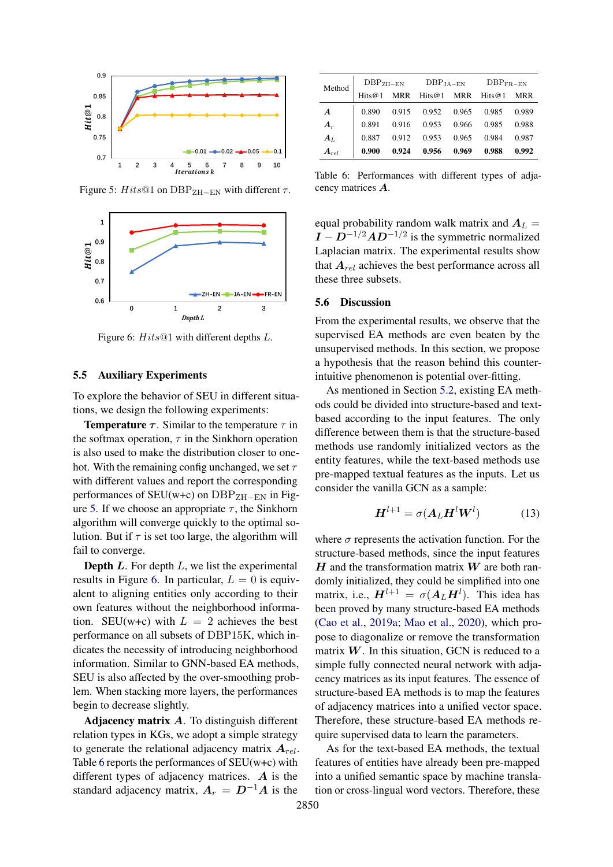<span id="page-7-1"></span>

Figure 5: Hits@1 on DBP<sub>ZH−EN</sub> with different  $\tau$ .

<span id="page-7-2"></span>

Figure 6:  $Hits@1$  with different depths L.

#### 5.5 Auxiliary Experiments

To explore the behavior of SEU in different situations, we design the following experiments:

**Temperature**  $\tau$ **.** Similar to the temperature  $\tau$  in the softmax operation,  $\tau$  in the Sinkhorn operation is also used to make the distribution closer to onehot. With the remaining config unchanged, we set  $\tau$ with different values and report the corresponding performances of  $SEU(w+c)$  on  $DBP<sub>ZH-FN</sub>$  in Fig-ure [5.](#page-7-1) If we choose an appropriate  $\tau$ , the Sinkhorn algorithm will converge quickly to the optimal solution. But if  $\tau$  is set too large, the algorithm will fail to converge.

**Depth L.** For depth  $L$ , we list the experimental results in Figure [6.](#page-7-2) In particular,  $L = 0$  is equivalent to aligning entities only according to their own features without the neighborhood information. SEU(w+c) with  $L = 2$  achieves the best performance on all subsets of DBP15K, which indicates the necessity of introducing neighborhood information. Similar to GNN-based EA methods, SEU is also affected by the over-smoothing problem. When stacking more layers, the performances begin to decrease slightly.

Adjacency matrix  $A$ . To distinguish different relation types in KGs, we adopt a simple strategy to generate the relational adjacency matrix  $A_{rel}$ . Table [6](#page-7-3) reports the performances of SEU(w+c) with different types of adjacency matrices.  $\boldsymbol{A}$  is the standard adjacency matrix,  $A_r = D^{-1}A$  is the

<span id="page-7-3"></span>

| Method           | $DBPZH-FN$ |       | $DBPJA-EN$ |       | $DBPFR-EN$ |       |  |
|------------------|------------|-------|------------|-------|------------|-------|--|
|                  | Hits@1     | MRR   | Hits $@1$  | MRR   | Hits $@1$  | MRR   |  |
| $\boldsymbol{A}$ | 0.890      | 0.915 | 0.952      | 0.965 | 0.985      | 0.989 |  |
| $A_r$            | 0.891      | 0.916 | 0.953      | 0.966 | 0.985      | 0.988 |  |
| $A_L$            | 0.887      | 0.912 | 0.953      | 0.965 | 0.984      | 0.987 |  |
| $\bm{A}_{rel}$   | 0.900      | 0.924 | 0.956      | 0.969 | 0.988      | 0.992 |  |

Table 6: Performances with different types of adjacency matrices A.

equal probability random walk matrix and  $A_L =$  $I - D^{-1/2}AD^{-1/2}$  is the symmetric normalized Laplacian matrix. The experimental results show that  $A_{rel}$  achieves the best performance across all these three subsets.

#### <span id="page-7-0"></span>5.6 Discussion

From the experimental results, we observe that the supervised EA methods are even beaten by the unsupervised methods. In this section, we propose a hypothesis that the reason behind this counterintuitive phenomenon is potential over-fitting.

As mentioned in Section [5.2,](#page-5-0) existing EA methods could be divided into structure-based and textbased according to the input features. The only difference between them is that the structure-based methods use randomly initialized vectors as the entity features, while the text-based methods use pre-mapped textual features as the inputs. Let us consider the vanilla GCN as a sample:

$$
\boldsymbol{H}^{l+1} = \sigma(\boldsymbol{A}_L \boldsymbol{H}^l \boldsymbol{W}^l) \tag{13}
$$

where  $\sigma$  represents the activation function. For the structure-based methods, since the input features  $H$  and the transformation matrix  $W$  are both randomly initialized, they could be simplified into one matrix, i.e.,  $H^{l+1} = \sigma(A_L H^l)$ . This idea has been proved by many structure-based EA methods [\(Cao et al.,](#page-8-3) [2019a;](#page-8-3) [Mao et al.,](#page-9-9) [2020\)](#page-9-9), which propose to diagonalize or remove the transformation matrix  $W$ . In this situation, GCN is reduced to a simple fully connected neural network with adjacency matrices as its input features. The essence of structure-based EA methods is to map the features of adjacency matrices into a unified vector space. Therefore, these structure-based EA methods require supervised data to learn the parameters.

As for the text-based EA methods, the textual features of entities have already been pre-mapped into a unified semantic space by machine translation or cross-lingual word vectors. Therefore, these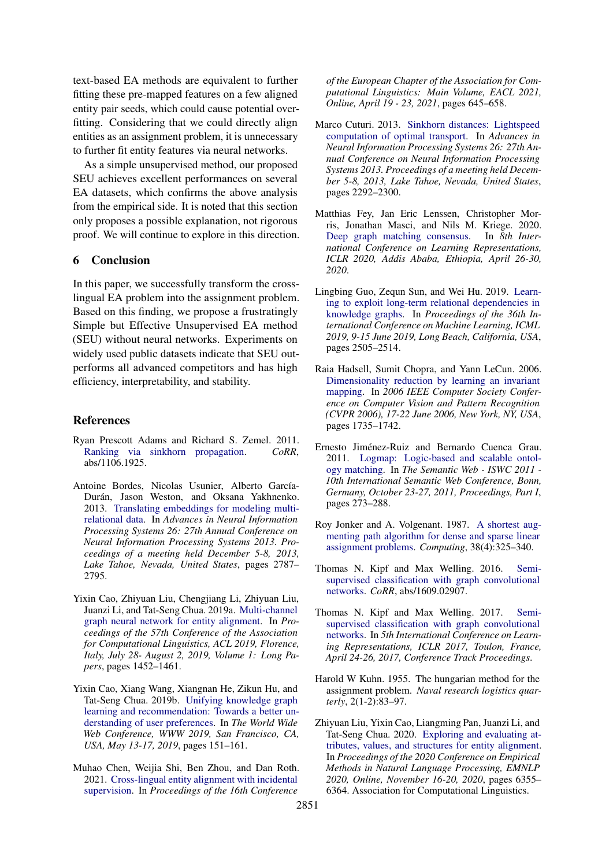text-based EA methods are equivalent to further fitting these pre-mapped features on a few aligned entity pair seeds, which could cause potential overfitting. Considering that we could directly align entities as an assignment problem, it is unnecessary to further fit entity features via neural networks.

As a simple unsupervised method, our proposed SEU achieves excellent performances on several EA datasets, which confirms the above analysis from the empirical side. It is noted that this section only proposes a possible explanation, not rigorous proof. We will continue to explore in this direction.

## 6 Conclusion

In this paper, we successfully transform the crosslingual EA problem into the assignment problem. Based on this finding, we propose a frustratingly Simple but Effective Unsupervised EA method (SEU) without neural networks. Experiments on widely used public datasets indicate that SEU outperforms all advanced competitors and has high efficiency, interpretability, and stability.

#### References

- <span id="page-8-10"></span>Ryan Prescott Adams and Richard S. Zemel. 2011. [Ranking via sinkhorn propagation.](http://arxiv.org/abs/1106.1925) *CoRR*, abs/1106.1925.
- <span id="page-8-6"></span>Antoine Bordes, Nicolas Usunier, Alberto García-Durán, Jason Weston, and Oksana Yakhnenko. 2013. [Translating embeddings for modeling multi](http://papers.nips.cc/paper/5071-translating-embeddings-for-modeling-multi-relational-data)[relational data.](http://papers.nips.cc/paper/5071-translating-embeddings-for-modeling-multi-relational-data) In *Advances in Neural Information Processing Systems 26: 27th Annual Conference on Neural Information Processing Systems 2013. Proceedings of a meeting held December 5-8, 2013, Lake Tahoe, Nevada, United States*, pages 2787– 2795.
- <span id="page-8-3"></span>Yixin Cao, Zhiyuan Liu, Chengjiang Li, Zhiyuan Liu, Juanzi Li, and Tat-Seng Chua. 2019a. [Multi-channel](https://doi.org/10.18653/v1/p19-1140) [graph neural network for entity alignment.](https://doi.org/10.18653/v1/p19-1140) In *Proceedings of the 57th Conference of the Association for Computational Linguistics, ACL 2019, Florence, Italy, July 28- August 2, 2019, Volume 1: Long Papers*, pages 1452–1461.
- <span id="page-8-0"></span>Yixin Cao, Xiang Wang, Xiangnan He, Zikun Hu, and Tat-Seng Chua. 2019b. [Unifying knowledge graph](https://doi.org/10.1145/3308558.3313705) [learning and recommendation: Towards a better un](https://doi.org/10.1145/3308558.3313705)[derstanding of user preferences.](https://doi.org/10.1145/3308558.3313705) In *The World Wide Web Conference, WWW 2019, San Francisco, CA, USA, May 13-17, 2019*, pages 151–161.
- <span id="page-8-13"></span>Muhao Chen, Weijia Shi, Ben Zhou, and Dan Roth. 2021. [Cross-lingual entity alignment with incidental](https://www.aclweb.org/anthology/2021.eacl-main.53/) [supervision.](https://www.aclweb.org/anthology/2021.eacl-main.53/) In *Proceedings of the 16th Conference*

*of the European Chapter of the Association for Computational Linguistics: Main Volume, EACL 2021, Online, April 19 - 23, 2021*, pages 645–658.

- <span id="page-8-5"></span>Marco Cuturi. 2013. [Sinkhorn distances: Lightspeed](https://proceedings.neurips.cc/paper/2013/hash/af21d0c97db2e27e13572cbf59eb343d-Abstract.html) [computation of optimal transport.](https://proceedings.neurips.cc/paper/2013/hash/af21d0c97db2e27e13572cbf59eb343d-Abstract.html) In *Advances in Neural Information Processing Systems 26: 27th Annual Conference on Neural Information Processing Systems 2013. Proceedings of a meeting held December 5-8, 2013, Lake Tahoe, Nevada, United States*, pages 2292–2300.
- <span id="page-8-14"></span>Matthias Fey, Jan Eric Lenssen, Christopher Morris, Jonathan Masci, and Nils M. Kriege. 2020. [Deep graph matching consensus.](https://openreview.net/forum?id=HyeJf1HKvS) In *8th International Conference on Learning Representations, ICLR 2020, Addis Ababa, Ethiopia, April 26-30, 2020*.
- <span id="page-8-12"></span>Lingbing Guo, Zequn Sun, and Wei Hu. 2019. [Learn](http://proceedings.mlr.press/v97/guo19c.html)[ing to exploit long-term relational dependencies in](http://proceedings.mlr.press/v97/guo19c.html) [knowledge graphs.](http://proceedings.mlr.press/v97/guo19c.html) In *Proceedings of the 36th International Conference on Machine Learning, ICML 2019, 9-15 June 2019, Long Beach, California, USA*, pages 2505–2514.
- <span id="page-8-8"></span>Raia Hadsell, Sumit Chopra, and Yann LeCun. 2006. [Dimensionality reduction by learning an invariant](https://doi.org/10.1109/CVPR.2006.100) [mapping.](https://doi.org/10.1109/CVPR.2006.100) In *2006 IEEE Computer Society Conference on Computer Vision and Pattern Recognition (CVPR 2006), 17-22 June 2006, New York, NY, USA*, pages 1735–1742.
- <span id="page-8-1"></span>Ernesto Jiménez-Ruiz and Bernardo Cuenca Grau. 2011. [Logmap: Logic-based and scalable ontol](https://doi.org/10.1007/978-3-642-25073-6_18)[ogy matching.](https://doi.org/10.1007/978-3-642-25073-6_18) In *The Semantic Web - ISWC 2011 - 10th International Semantic Web Conference, Bonn, Germany, October 23-27, 2011, Proceedings, Part I*, pages 273–288.
- <span id="page-8-9"></span>Roy Jonker and A. Volgenant. 1987. [A shortest aug](https://doi.org/10.1007/BF02278710)[menting path algorithm for dense and sparse linear](https://doi.org/10.1007/BF02278710) [assignment problems.](https://doi.org/10.1007/BF02278710) *Computing*, 38(4):325–340.
- <span id="page-8-7"></span>Thomas N. Kipf and Max Welling. 2016. [Semi](http://arxiv.org/abs/1609.02907)[supervised classification with graph convolutional](http://arxiv.org/abs/1609.02907) [networks.](http://arxiv.org/abs/1609.02907) *CoRR*, abs/1609.02907.
- <span id="page-8-2"></span>Thomas N. Kipf and Max Welling. 2017. [Semi](https://openreview.net/forum?id=SJU4ayYgl)[supervised classification with graph convolutional](https://openreview.net/forum?id=SJU4ayYgl) [networks.](https://openreview.net/forum?id=SJU4ayYgl) In *5th International Conference on Learning Representations, ICLR 2017, Toulon, France, April 24-26, 2017, Conference Track Proceedings*.
- <span id="page-8-4"></span>Harold W Kuhn. 1955. The hungarian method for the assignment problem. *Naval research logistics quarterly*, 2(1-2):83–97.
- <span id="page-8-11"></span>Zhiyuan Liu, Yixin Cao, Liangming Pan, Juanzi Li, and Tat-Seng Chua. 2020. [Exploring and evaluating at](https://doi.org/10.18653/v1/2020.emnlp-main.515)[tributes, values, and structures for entity alignment.](https://doi.org/10.18653/v1/2020.emnlp-main.515) In *Proceedings of the 2020 Conference on Empirical Methods in Natural Language Processing, EMNLP 2020, Online, November 16-20, 2020*, pages 6355– 6364. Association for Computational Linguistics.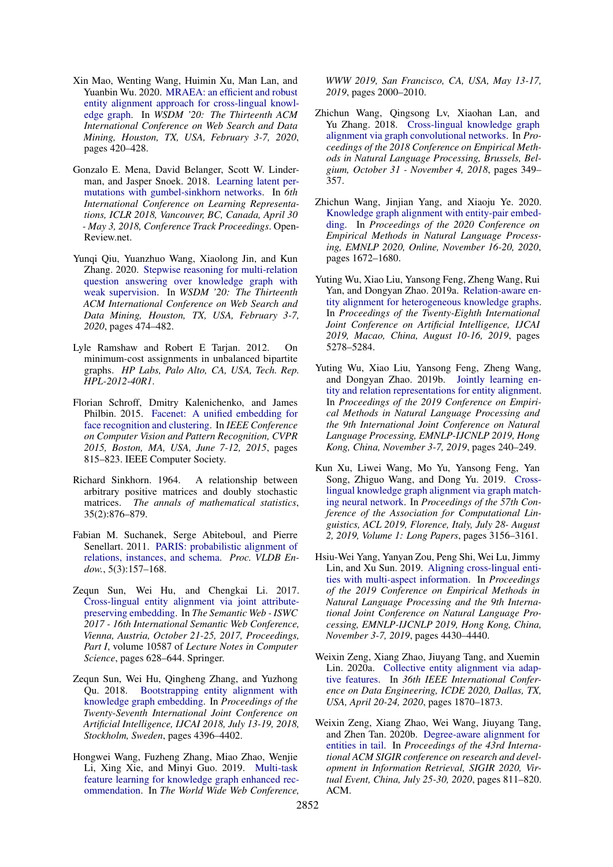- <span id="page-9-9"></span>Xin Mao, Wenting Wang, Huimin Xu, Man Lan, and Yuanbin Wu. 2020. [MRAEA: an efficient and robust](https://doi.org/10.1145/3336191.3371804) [entity alignment approach for cross-lingual knowl](https://doi.org/10.1145/3336191.3371804)[edge graph.](https://doi.org/10.1145/3336191.3371804) In *WSDM '20: The Thirteenth ACM International Conference on Web Search and Data Mining, Houston, TX, USA, February 3-7, 2020*, pages 420–428.
- <span id="page-9-14"></span>Gonzalo E. Mena, David Belanger, Scott W. Linderman, and Jasper Snoek. 2018. [Learning latent per](https://openreview.net/forum?id=Byt3oJ-0W)[mutations with gumbel-sinkhorn networks.](https://openreview.net/forum?id=Byt3oJ-0W) In *6th International Conference on Learning Representations, ICLR 2018, Vancouver, BC, Canada, April 30 - May 3, 2018, Conference Track Proceedings*. Open-Review.net.
- <span id="page-9-1"></span>Yunqi Qiu, Yuanzhuo Wang, Xiaolong Jin, and Kun Zhang. 2020. [Stepwise reasoning for multi-relation](https://doi.org/10.1145/3336191.3371812) [question answering over knowledge graph with](https://doi.org/10.1145/3336191.3371812) [weak supervision.](https://doi.org/10.1145/3336191.3371812) In *WSDM '20: The Thirteenth ACM International Conference on Web Search and Data Mining, Houston, TX, USA, February 3-7, 2020*, pages 474–482.
- <span id="page-9-12"></span>Lyle Ramshaw and Robert E Tarjan. 2012. On minimum-cost assignments in unbalanced bipartite graphs. *HP Labs, Palo Alto, CA, USA, Tech. Rep. HPL-2012-40R1*.
- <span id="page-9-7"></span>Florian Schroff, Dmitry Kalenichenko, and James Philbin. 2015. [Facenet: A unified embedding for](https://doi.org/10.1109/CVPR.2015.7298682) [face recognition and clustering.](https://doi.org/10.1109/CVPR.2015.7298682) In *IEEE Conference on Computer Vision and Pattern Recognition, CVPR 2015, Boston, MA, USA, June 7-12, 2015*, pages 815–823. IEEE Computer Society.
- <span id="page-9-13"></span>Richard Sinkhorn. 1964. A relationship between arbitrary positive matrices and doubly stochastic matrices. *The annals of mathematical statistics*, 35(2):876–879.
- <span id="page-9-2"></span>Fabian M. Suchanek, Serge Abiteboul, and Pierre Senellart. 2011. [PARIS: probabilistic alignment of](https://doi.org/10.14778/2078331.2078332) [relations, instances, and schema.](https://doi.org/10.14778/2078331.2078332) *Proc. VLDB Endow.*, 5(3):157–168.
- <span id="page-9-15"></span>Zequn Sun, Wei Hu, and Chengkai Li. 2017. [Cross-lingual entity alignment via joint attribute](https://doi.org/10.1007/978-3-319-68288-4_37)[preserving embedding.](https://doi.org/10.1007/978-3-319-68288-4_37) In *The Semantic Web - ISWC 2017 - 16th International Semantic Web Conference, Vienna, Austria, October 21-25, 2017, Proceedings, Part I*, volume 10587 of *Lecture Notes in Computer Science*, pages 628–644. Springer.
- <span id="page-9-8"></span>Zequn Sun, Wei Hu, Qingheng Zhang, and Yuzhong Qu. 2018. [Bootstrapping entity alignment with](https://doi.org/10.24963/ijcai.2018/611) [knowledge graph embedding.](https://doi.org/10.24963/ijcai.2018/611) In *Proceedings of the Twenty-Seventh International Joint Conference on Artificial Intelligence, IJCAI 2018, July 13-19, 2018, Stockholm, Sweden*, pages 4396–4402.
- <span id="page-9-0"></span>Hongwei Wang, Fuzheng Zhang, Miao Zhao, Wenjie Li, Xing Xie, and Minyi Guo. 2019. [Multi-task](https://doi.org/10.1145/3308558.3313411) [feature learning for knowledge graph enhanced rec](https://doi.org/10.1145/3308558.3313411)[ommendation.](https://doi.org/10.1145/3308558.3313411) In *The World Wide Web Conference,*

*WWW 2019, San Francisco, CA, USA, May 13-17, 2019*, pages 2000–2010.

- <span id="page-9-6"></span>Zhichun Wang, Qingsong Lv, Xiaohan Lan, and Yu Zhang. 2018. [Cross-lingual knowledge graph](https://doi.org/10.18653/v1/d18-1032) [alignment via graph convolutional networks.](https://doi.org/10.18653/v1/d18-1032) In *Proceedings of the 2018 Conference on Empirical Methods in Natural Language Processing, Brussels, Belgium, October 31 - November 4, 2018*, pages 349– 357.
- <span id="page-9-5"></span>Zhichun Wang, Jinjian Yang, and Xiaoju Ye. 2020. [Knowledge graph alignment with entity-pair embed](https://doi.org/10.18653/v1/2020.emnlp-main.130)[ding.](https://doi.org/10.18653/v1/2020.emnlp-main.130) In *Proceedings of the 2020 Conference on Empirical Methods in Natural Language Processing, EMNLP 2020, Online, November 16-20, 2020*, pages 1672–1680.
- <span id="page-9-4"></span>Yuting Wu, Xiao Liu, Yansong Feng, Zheng Wang, Rui Yan, and Dongyan Zhao. 2019a. [Relation-aware en](https://doi.org/10.24963/ijcai.2019/733)[tity alignment for heterogeneous knowledge graphs.](https://doi.org/10.24963/ijcai.2019/733) In *Proceedings of the Twenty-Eighth International Joint Conference on Artificial Intelligence, IJCAI 2019, Macao, China, August 10-16, 2019*, pages 5278–5284.
- <span id="page-9-10"></span>Yuting Wu, Xiao Liu, Yansong Feng, Zheng Wang, and Dongyan Zhao. 2019b. [Jointly learning en](https://doi.org/10.18653/v1/D19-1023)[tity and relation representations for entity alignment.](https://doi.org/10.18653/v1/D19-1023) In *Proceedings of the 2019 Conference on Empirical Methods in Natural Language Processing and the 9th International Joint Conference on Natural Language Processing, EMNLP-IJCNLP 2019, Hong Kong, China, November 3-7, 2019*, pages 240–249.
- <span id="page-9-3"></span>Kun Xu, Liwei Wang, Mo Yu, Yansong Feng, Yan Song, Zhiguo Wang, and Dong Yu. 2019. [Cross](https://doi.org/10.18653/v1/p19-1304)[lingual knowledge graph alignment via graph match](https://doi.org/10.18653/v1/p19-1304)[ing neural network.](https://doi.org/10.18653/v1/p19-1304) In *Proceedings of the 57th Conference of the Association for Computational Linguistics, ACL 2019, Florence, Italy, July 28- August 2, 2019, Volume 1: Long Papers*, pages 3156–3161.
- <span id="page-9-11"></span>Hsiu-Wei Yang, Yanyan Zou, Peng Shi, Wei Lu, Jimmy Lin, and Xu Sun. 2019. [Aligning cross-lingual enti](https://doi.org/10.18653/v1/D19-1451)[ties with multi-aspect information.](https://doi.org/10.18653/v1/D19-1451) In *Proceedings of the 2019 Conference on Empirical Methods in Natural Language Processing and the 9th International Joint Conference on Natural Language Processing, EMNLP-IJCNLP 2019, Hong Kong, China, November 3-7, 2019*, pages 4430–4440.
- <span id="page-9-17"></span>Weixin Zeng, Xiang Zhao, Jiuyang Tang, and Xuemin Lin. 2020a. [Collective entity alignment via adap](https://doi.org/10.1109/ICDE48307.2020.00191)[tive features.](https://doi.org/10.1109/ICDE48307.2020.00191) In *36th IEEE International Conference on Data Engineering, ICDE 2020, Dallas, TX, USA, April 20-24, 2020*, pages 1870–1873.
- <span id="page-9-16"></span>Weixin Zeng, Xiang Zhao, Wei Wang, Jiuyang Tang, and Zhen Tan. 2020b. [Degree-aware alignment for](https://doi.org/10.1145/3397271.3401161) [entities in tail.](https://doi.org/10.1145/3397271.3401161) In *Proceedings of the 43rd International ACM SIGIR conference on research and development in Information Retrieval, SIGIR 2020, Virtual Event, China, July 25-30, 2020*, pages 811–820. ACM.